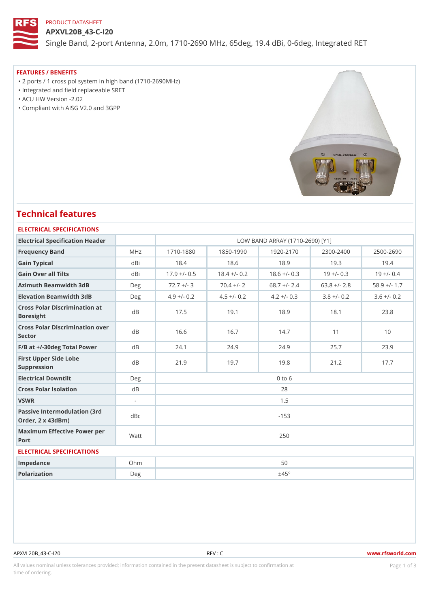## PRODUCT DATASHEET

APXVL20B\_43-C-I20 Single Band, 2-port Antenna, 2.0m, 1710-2690 MHz, 65deg, 19.4 dBi, 0

### FEATURES / BENEFITS

"2 ports / 1 cross pol system in high band (1710-2690MHz)

- "Integrated and field replaceable SRET
- "ACU HW Version -2.02

"Compliant with AISG V2.0 and 3GPP

# Technical features

## ELECTRICAL SPECIFICATIONS

| Electrical Specification Header                                   |         |               |                                                  |            | LOW BAND ARRAY (1710-2690) [Y1] |                                                             |
|-------------------------------------------------------------------|---------|---------------|--------------------------------------------------|------------|---------------------------------|-------------------------------------------------------------|
| Frequency Band                                                    | MHz     | $1710 - 1880$ | $1850 - 1990$                                    |            | $1920 - 2170$ $2300 - 2400$     | $2500 - 2690$                                               |
| Gain Typical                                                      | dBi     | 18.4          | 18.6                                             | 18.9       | 19.3                            | 19.4                                                        |
| Gain Over all Tilts                                               | dBi     |               | $17.9 + (-0.518.4 + (-0.218.6 + (-0.319 + (-0.8$ |            |                                 | $19 + (-0.4)$                                               |
| Azimuth Beamwidth 3dB                                             | Deg     | $72.7 +/-$ 8  |                                                  |            |                                 | $70.4$ +/- 2 68.7 +/- 2.4 63.8 +/- 2.8 58.9 +/- 1.          |
| Elevation Beamwidth 3dB                                           | $D$ e q |               |                                                  |            |                                 | 4.9 +/- 0.2 4.5 +/- 0.2 4.2 +/- 0.3 3.8 +/- 0.2 3.6 +/- 0.2 |
| Cross Polar Discrimination at<br><b>Boresight</b>                 |         | 17.5          | 19.1                                             | 18.9       | 18.1                            | 23.8                                                        |
| Cross Polar Discrimination over<br>Sector                         |         | 16.6          | 16.7                                             | 14.7       | 11                              | 10                                                          |
| $F/B$ at $+/-30$ deg Total Powerd B                               |         | 24.1          | 24.9                                             | 24.9       | 25.7                            | 23.9                                                        |
| First Upper Side Lobe<br>Suppression                              | d B     | 21.9          | 19.7                                             | 19.8       | 21.2                            | 17.7                                                        |
| Electrical Downtilt                                               | Deg     |               |                                                  | $0$ to $6$ |                                 |                                                             |
| Cross Polar Isolation                                             | d B     | 28            |                                                  |            |                                 |                                                             |
| VSWR                                                              | $\sim$  |               |                                                  | 1.5        |                                 |                                                             |
| Passive Intermodulation (3rd dBc<br>Order, $2 \times 43$ d $B$ m) |         | $-153$        |                                                  |            |                                 |                                                             |
| Maximum Effective Power per<br>Port                               |         | 250           |                                                  |            |                                 |                                                             |
| ELECTRICAL SPECIFICATIONS                                         |         |               |                                                  |            |                                 |                                                             |
| Impedance                                                         | $O$ h m |               |                                                  | 50         |                                 |                                                             |
| Polarization                                                      | Deg     |               |                                                  | ±45°       |                                 |                                                             |
|                                                                   |         |               |                                                  |            |                                 |                                                             |

## APXVL20B\_43-C-I20 REV : C www.rfsworld.com

All values nominal unless tolerances provided; information contained in the present datasheet is subject to PcaogneionIm atio time of ordering.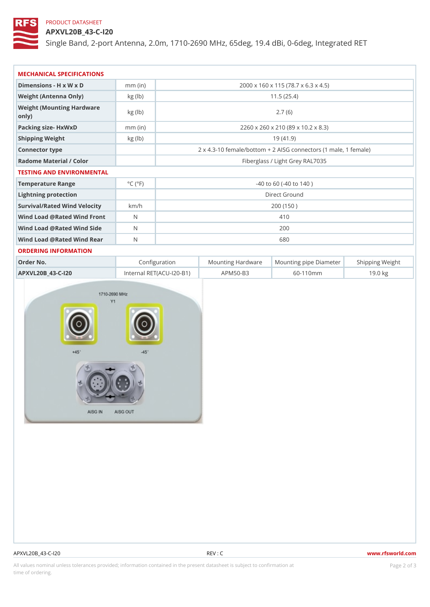## PRODUCT DATASHEET

APXVL20B\_43-C-I20

Single Band, 2-port Antenna, 2.0m, 1710-2690 MHz, 65deg, 19.4 dBi, 0

| MECHANICAL SPECIFICATIONS                  |                             |                             |                                                       |  |
|--------------------------------------------|-----------------------------|-----------------------------|-------------------------------------------------------|--|
| Dimensions - H x W x D                     | $mm$ (in)                   |                             | 2000 x 160 x 115 (78.7 x 6.3 x 4.5)                   |  |
| Weight (Antenna Only)                      | kg (lb)                     |                             | 11.5(25.4)                                            |  |
| Weight (Mounting Hardware kg (lb)<br>0nly) |                             |                             | 2.7(6)                                                |  |
| Packing size- HxWxD                        | $mm$ (in)                   |                             | 2260 x 260 x 210 (89 x 10.2 x 8.3)                    |  |
| Shipping Weight                            | $kg$ ( $lb$ )               |                             | 19(41.9)                                              |  |
| Connector type                             |                             |                             | 2 x 4.3-10 female/bottom + 2 AISG connectors (1 ma e, |  |
| Radome Material / Color                    |                             |                             | Fiberglass / Light Grey RAL7035                       |  |
| TESTING AND ENVIRONMENTAL                  |                             |                             |                                                       |  |
| Temperature Range                          | $^{\circ}$ C ( $^{\circ}$ F | $-40$ to 60 ( $-40$ to 140) |                                                       |  |
| Lightning protection                       |                             | Direct Ground               |                                                       |  |
| Survival/Rated Wind Velocikm/h             |                             | 200 (150)                   |                                                       |  |
| Wind Load @ Rated Wind Front               |                             | 410                         |                                                       |  |
| Wind Load @ Rated Wind Sidb                |                             | 200                         |                                                       |  |
| Wind Load @ Rated Wind ReaN                |                             | 680                         |                                                       |  |
| ORDERING INFORMATION                       |                             |                             |                                                       |  |
| Order No.                                  |                             | Configuration               | Mounting HardwaMeunting pipe DiameStheirpping Weight  |  |

APXVL20B\_43-C-I20 Internal RET(ACU-I20-BAPM50-B3 60-110mm 19.0 kg

|  |  |  | A P X V L 2 0 B 4 3 - C - I 2 0 |  |
|--|--|--|---------------------------------|--|
|--|--|--|---------------------------------|--|